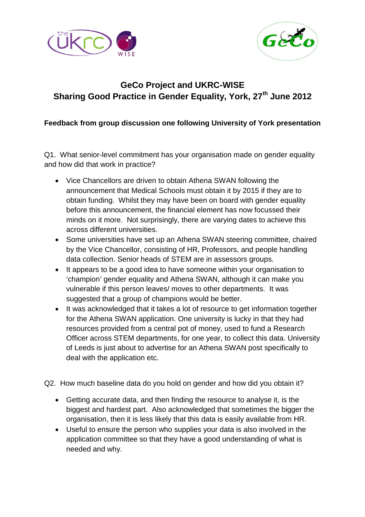



# **GeCo Project and UKRC-WISE Sharing Good Practice in Gender Equality, York, 27th June 2012**

# **Feedback from group discussion one following University of York presentation**

Q1. What senior-level commitment has your organisation made on gender equality and how did that work in practice?

- Vice Chancellors are driven to obtain Athena SWAN following the announcement that Medical Schools must obtain it by 2015 if they are to obtain funding. Whilst they may have been on board with gender equality before this announcement, the financial element has now focussed their minds on it more. Not surprisingly, there are varying dates to achieve this across different universities.
- Some universities have set up an Athena SWAN steering committee, chaired by the Vice Chancellor, consisting of HR, Professors, and people handling data collection. Senior heads of STEM are in assessors groups.
- It appears to be a good idea to have someone within your organisation to 'champion' gender equality and Athena SWAN, although it can make you vulnerable if this person leaves/ moves to other departments. It was suggested that a group of champions would be better.
- It was acknowledged that it takes a lot of resource to get information together for the Athena SWAN application. One university is lucky in that they had resources provided from a central pot of money, used to fund a Research Officer across STEM departments, for one year, to collect this data. University of Leeds is just about to advertise for an Athena SWAN post specifically to deal with the application etc.
- Q2. How much baseline data do you hold on gender and how did you obtain it?
	- Getting accurate data, and then finding the resource to analyse it, is the biggest and hardest part. Also acknowledged that sometimes the bigger the organisation, then it is less likely that this data is easily available from HR.
	- Useful to ensure the person who supplies your data is also involved in the application committee so that they have a good understanding of what is needed and why.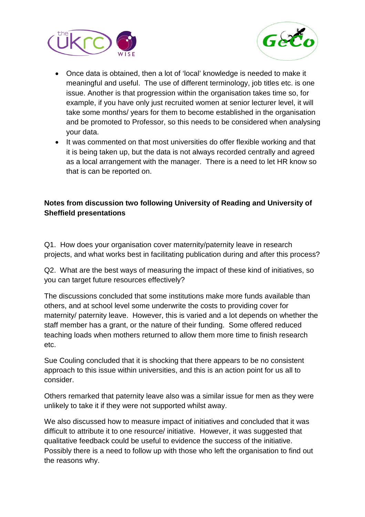



- Once data is obtained, then a lot of 'local' knowledge is needed to make it meaningful and useful. The use of different terminology, job titles etc. is one issue. Another is that progression within the organisation takes time so, for example, if you have only just recruited women at senior lecturer level, it will take some months/ years for them to become established in the organisation and be promoted to Professor, so this needs to be considered when analysing your data.
- It was commented on that most universities do offer flexible working and that it is being taken up, but the data is not always recorded centrally and agreed as a local arrangement with the manager. There is a need to let HR know so that is can be reported on.

## **Notes from discussion two following University of Reading and University of Sheffield presentations**

Q1. How does your organisation cover maternity/paternity leave in research projects, and what works best in facilitating publication during and after this process?

Q2. What are the best ways of measuring the impact of these kind of initiatives, so you can target future resources effectively?

The discussions concluded that some institutions make more funds available than others, and at school level some underwrite the costs to providing cover for maternity/ paternity leave. However, this is varied and a lot depends on whether the staff member has a grant, or the nature of their funding. Some offered reduced teaching loads when mothers returned to allow them more time to finish research etc.

Sue Couling concluded that it is shocking that there appears to be no consistent approach to this issue within universities, and this is an action point for us all to consider.

Others remarked that paternity leave also was a similar issue for men as they were unlikely to take it if they were not supported whilst away.

We also discussed how to measure impact of initiatives and concluded that it was difficult to attribute it to one resource/ initiative. However, it was suggested that qualitative feedback could be useful to evidence the success of the initiative. Possibly there is a need to follow up with those who left the organisation to find out the reasons why.